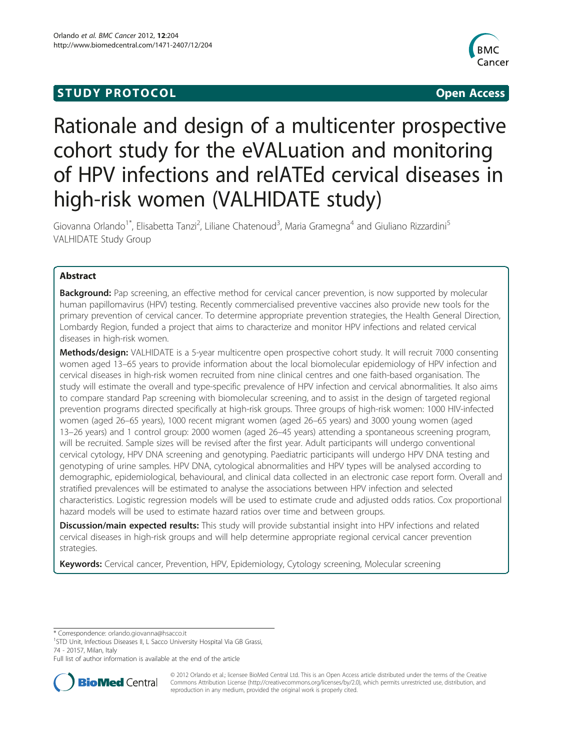# **STUDY PROTOCOL CONSUMING THE RESERVE ACCESS**



# Rationale and design of a multicenter prospective cohort study for the eVALuation and monitoring of HPV infections and relATEd cervical diseases in high-risk women (VALHIDATE study)

Giovanna Orlando<sup>1\*</sup>, Elisabetta Tanzi<sup>2</sup>, Liliane Chatenoud<sup>3</sup>, Maria Gramegna<sup>4</sup> and Giuliano Rizzardini<sup>5</sup> VALHIDATE Study Group

# Abstract

Background: Pap screening, an effective method for cervical cancer prevention, is now supported by molecular human papillomavirus (HPV) testing. Recently commercialised preventive vaccines also provide new tools for the primary prevention of cervical cancer. To determine appropriate prevention strategies, the Health General Direction, Lombardy Region, funded a project that aims to characterize and monitor HPV infections and related cervical diseases in high-risk women.

Methods/design: VALHIDATE is a 5-year multicentre open prospective cohort study. It will recruit 7000 consenting women aged 13–65 years to provide information about the local biomolecular epidemiology of HPV infection and cervical diseases in high-risk women recruited from nine clinical centres and one faith-based organisation. The study will estimate the overall and type-specific prevalence of HPV infection and cervical abnormalities. It also aims to compare standard Pap screening with biomolecular screening, and to assist in the design of targeted regional prevention programs directed specifically at high-risk groups. Three groups of high-risk women: 1000 HIV-infected women (aged 26–65 years), 1000 recent migrant women (aged 26–65 years) and 3000 young women (aged 13–26 years) and 1 control group: 2000 women (aged 26–45 years) attending a spontaneous screening program, will be recruited. Sample sizes will be revised after the first year. Adult participants will undergo conventional cervical cytology, HPV DNA screening and genotyping. Paediatric participants will undergo HPV DNA testing and genotyping of urine samples. HPV DNA, cytological abnormalities and HPV types will be analysed according to demographic, epidemiological, behavioural, and clinical data collected in an electronic case report form. Overall and stratified prevalences will be estimated to analyse the associations between HPV infection and selected characteristics. Logistic regression models will be used to estimate crude and adjusted odds ratios. Cox proportional hazard models will be used to estimate hazard ratios over time and between groups.

Discussion/main expected results: This study will provide substantial insight into HPV infections and related cervical diseases in high-risk groups and will help determine appropriate regional cervical cancer prevention strategies.

Keywords: Cervical cancer, Prevention, HPV, Epidemiology, Cytology screening, Molecular screening

\* Correspondence: [orlando.giovanna@hsacco.it](mailto:orlando.giovanna@hsacco.it) <sup>1</sup>

<sup>1</sup>STD Unit, Infectious Diseases II, L Sacco University Hospital Via GB Grassi, 74 - 20157, Milan, Italy

Full list of author information is available at the end of the article



© 2012 Orlando et al.; licensee BioMed Central Ltd. This is an Open Access article distributed under the terms of the Creative Commons Attribution License [\(http://creativecommons.org/licenses/by/2.0\)](http://creativecommons.org/licenses/by/2.0), which permits unrestricted use, distribution, and reproduction in any medium, provided the original work is properly cited.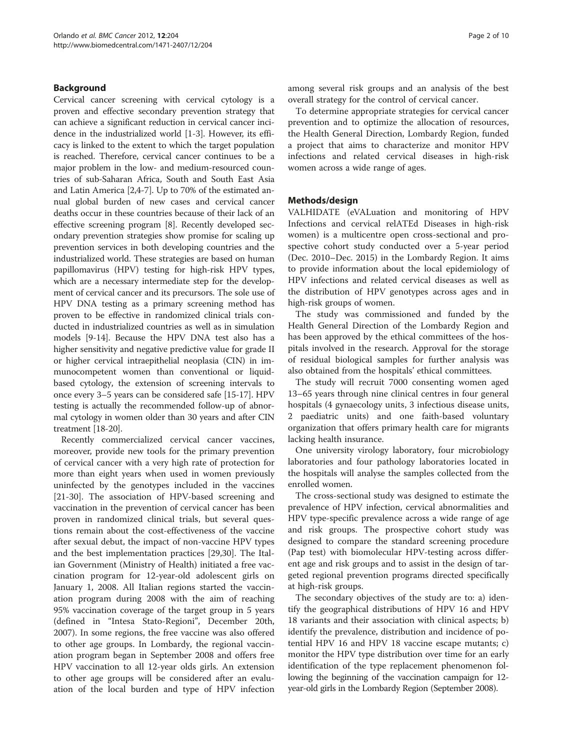# Background

Cervical cancer screening with cervical cytology is a proven and effective secondary prevention strategy that can achieve a significant reduction in cervical cancer incidence in the industrialized world [[1-3\]](#page-7-0). However, its efficacy is linked to the extent to which the target population is reached. Therefore, cervical cancer continues to be a major problem in the low- and medium-resourced countries of sub-Saharan Africa, South and South East Asia and Latin America [\[2,4](#page-7-0)-[7](#page-7-0)]. Up to 70% of the estimated annual global burden of new cases and cervical cancer deaths occur in these countries because of their lack of an effective screening program [[8](#page-7-0)]. Recently developed secondary prevention strategies show promise for scaling up prevention services in both developing countries and the industrialized world. These strategies are based on human papillomavirus (HPV) testing for high-risk HPV types, which are a necessary intermediate step for the development of cervical cancer and its precursors. The sole use of HPV DNA testing as a primary screening method has proven to be effective in randomized clinical trials conducted in industrialized countries as well as in simulation models [[9](#page-7-0)[-14\]](#page-8-0). Because the HPV DNA test also has a higher sensitivity and negative predictive value for grade II or higher cervical intraepithelial neoplasia (CIN) in immunocompetent women than conventional or liquidbased cytology, the extension of screening intervals to once every 3–5 years can be considered safe [\[15-17\]](#page-8-0). HPV testing is actually the recommended follow-up of abnormal cytology in women older than 30 years and after CIN treatment [[18](#page-8-0)-[20](#page-8-0)].

Recently commercialized cervical cancer vaccines, moreover, provide new tools for the primary prevention of cervical cancer with a very high rate of protection for more than eight years when used in women previously uninfected by the genotypes included in the vaccines [[21-30](#page-8-0)]. The association of HPV-based screening and vaccination in the prevention of cervical cancer has been proven in randomized clinical trials, but several questions remain about the cost-effectiveness of the vaccine after sexual debut, the impact of non-vaccine HPV types and the best implementation practices [\[29,30\]](#page-8-0). The Italian Government (Ministry of Health) initiated a free vaccination program for 12-year-old adolescent girls on January 1, 2008. All Italian regions started the vaccination program during 2008 with the aim of reaching 95% vaccination coverage of the target group in 5 years (defined in "Intesa Stato-Regioni", December 20th, 2007). In some regions, the free vaccine was also offered to other age groups. In Lombardy, the regional vaccination program began in September 2008 and offers free HPV vaccination to all 12-year olds girls. An extension to other age groups will be considered after an evaluation of the local burden and type of HPV infection

among several risk groups and an analysis of the best overall strategy for the control of cervical cancer.

To determine appropriate strategies for cervical cancer prevention and to optimize the allocation of resources, the Health General Direction, Lombardy Region, funded a project that aims to characterize and monitor HPV infections and related cervical diseases in high-risk women across a wide range of ages.

#### Methods/design

VALHIDATE (eVALuation and monitoring of HPV Infections and cervical relATEd Diseases in high-risk women) is a multicentre open cross-sectional and prospective cohort study conducted over a 5-year period (Dec. 2010–Dec. 2015) in the Lombardy Region. It aims to provide information about the local epidemiology of HPV infections and related cervical diseases as well as the distribution of HPV genotypes across ages and in high-risk groups of women.

The study was commissioned and funded by the Health General Direction of the Lombardy Region and has been approved by the ethical committees of the hospitals involved in the research. Approval for the storage of residual biological samples for further analysis was also obtained from the hospitals' ethical committees.

The study will recruit 7000 consenting women aged 13–65 years through nine clinical centres in four general hospitals (4 gynaecology units, 3 infectious disease units, 2 paediatric units) and one faith-based voluntary organization that offers primary health care for migrants lacking health insurance.

One university virology laboratory, four microbiology laboratories and four pathology laboratories located in the hospitals will analyse the samples collected from the enrolled women.

The cross-sectional study was designed to estimate the prevalence of HPV infection, cervical abnormalities and HPV type-specific prevalence across a wide range of age and risk groups. The prospective cohort study was designed to compare the standard screening procedure (Pap test) with biomolecular HPV-testing across different age and risk groups and to assist in the design of targeted regional prevention programs directed specifically at high-risk groups.

The secondary objectives of the study are to: a) identify the geographical distributions of HPV 16 and HPV 18 variants and their association with clinical aspects; b) identify the prevalence, distribution and incidence of potential HPV 16 and HPV 18 vaccine escape mutants; c) monitor the HPV type distribution over time for an early identification of the type replacement phenomenon following the beginning of the vaccination campaign for 12 year-old girls in the Lombardy Region (September 2008).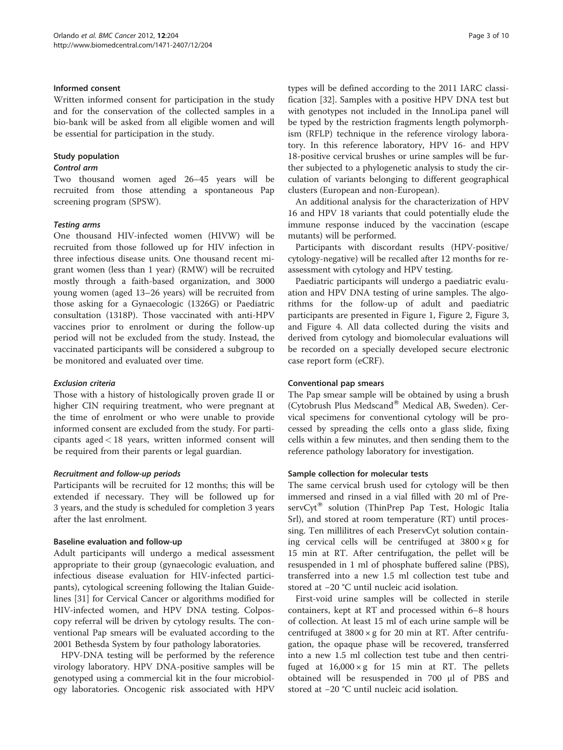#### Informed consent

Written informed consent for participation in the study and for the conservation of the collected samples in a bio-bank will be asked from all eligible women and will be essential for participation in the study.

# Study population

#### Control arm

Two thousand women aged 26–45 years will be recruited from those attending a spontaneous Pap screening program (SPSW).

#### Testing arms

One thousand HIV-infected women (HIVW) will be recruited from those followed up for HIV infection in three infectious disease units. One thousand recent migrant women (less than 1 year) (RMW) will be recruited mostly through a faith-based organization, and 3000 young women (aged 13–26 years) will be recruited from those asking for a Gynaecologic (1326G) or Paediatric consultation (1318P). Those vaccinated with anti-HPV vaccines prior to enrolment or during the follow-up period will not be excluded from the study. Instead, the vaccinated participants will be considered a subgroup to be monitored and evaluated over time.

# Exclusion criteria

Those with a history of histologically proven grade II or higher CIN requiring treatment, who were pregnant at the time of enrolment or who were unable to provide informed consent are excluded from the study. For participants aged < 18 years, written informed consent will be required from their parents or legal guardian.

#### Recruitment and follow-up periods

Participants will be recruited for 12 months; this will be extended if necessary. They will be followed up for 3 years, and the study is scheduled for completion 3 years after the last enrolment.

# Baseline evaluation and follow-up

Adult participants will undergo a medical assessment appropriate to their group (gynaecologic evaluation, and infectious disease evaluation for HIV-infected participants), cytological screening following the Italian Guidelines [[31\]](#page-8-0) for Cervical Cancer or algorithms modified for HIV-infected women, and HPV DNA testing. Colposcopy referral will be driven by cytology results. The conventional Pap smears will be evaluated according to the 2001 Bethesda System by four pathology laboratories.

HPV-DNA testing will be performed by the reference virology laboratory. HPV DNA-positive samples will be genotyped using a commercial kit in the four microbiology laboratories. Oncogenic risk associated with HPV

types will be defined according to the 2011 IARC classification [[32](#page-8-0)]. Samples with a positive HPV DNA test but with genotypes not included in the InnoLipa panel will be typed by the restriction fragments length polymorphism (RFLP) technique in the reference virology laboratory. In this reference laboratory, HPV 16- and HPV 18-positive cervical brushes or urine samples will be further subjected to a phylogenetic analysis to study the circulation of variants belonging to different geographical clusters (European and non-European).

An additional analysis for the characterization of HPV 16 and HPV 18 variants that could potentially elude the immune response induced by the vaccination (escape mutants) will be performed.

Participants with discordant results (HPV-positive/ cytology-negative) will be recalled after 12 months for reassessment with cytology and HPV testing.

Paediatric participants will undergo a paediatric evaluation and HPV DNA testing of urine samples. The algorithms for the follow-up of adult and paediatric participants are presented in Figure [1,](#page-3-0) Figure [2,](#page-4-0) Figure [3](#page-5-0), and Figure [4](#page-5-0). All data collected during the visits and derived from cytology and biomolecular evaluations will be recorded on a specially developed secure electronic case report form (eCRF).

#### Conventional pap smears

The Pap smear sample will be obtained by using a brush (Cytobrush Plus Medscand® Medical AB, Sweden). Cervical specimens for conventional cytology will be processed by spreading the cells onto a glass slide, fixing cells within a few minutes, and then sending them to the reference pathology laboratory for investigation.

# Sample collection for molecular tests

The same cervical brush used for cytology will be then immersed and rinsed in a vial filled with 20 ml of Pre $servCyt^{\otimes}$  solution (ThinPrep Pap Test, Hologic Italia Srl), and stored at room temperature (RT) until processing. Ten millilitres of each PreservCyt solution containing cervical cells will be centrifuged at  $3800 \times g$  for 15 min at RT. After centrifugation, the pellet will be resuspended in 1 ml of phosphate buffered saline (PBS), transferred into a new 1.5 ml collection test tube and stored at −20 °C until nucleic acid isolation.

First-void urine samples will be collected in sterile containers, kept at RT and processed within 6–8 hours of collection. At least 15 ml of each urine sample will be centrifuged at  $3800 \times g$  for 20 min at RT. After centrifugation, the opaque phase will be recovered, transferred into a new 1.5 ml collection test tube and then centrifuged at  $16,000 \times g$  for 15 min at RT. The pellets obtained will be resuspended in 700 μl of PBS and stored at −20 °C until nucleic acid isolation.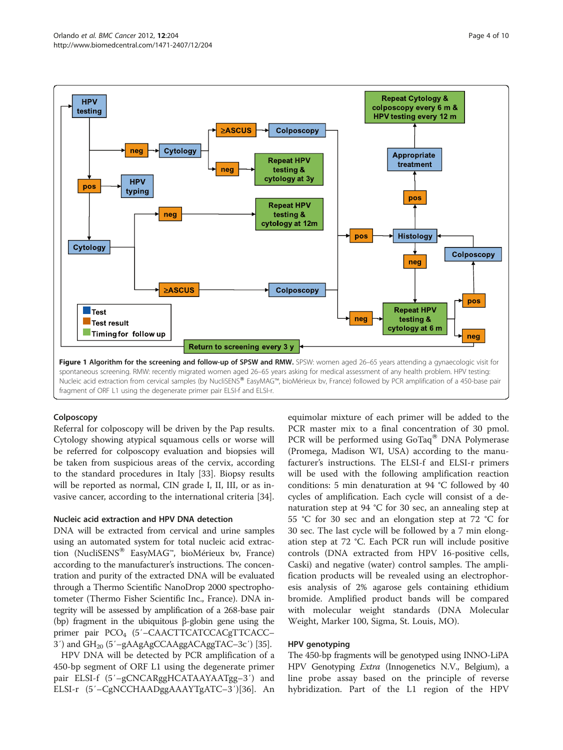<span id="page-3-0"></span>

# Colposcopy

Referral for colposcopy will be driven by the Pap results. Cytology showing atypical squamous cells or worse will be referred for colposcopy evaluation and biopsies will be taken from suspicious areas of the cervix, according to the standard procedures in Italy [\[33\]](#page-8-0). Biopsy results will be reported as normal, CIN grade I, II, III, or as invasive cancer, according to the international criteria [\[34\]](#page-8-0).

# Nucleic acid extraction and HPV DNA detection

DNA will be extracted from cervical and urine samples using an automated system for total nucleic acid extraction (NucliSENS® EasyMAG™, bioMérieux bv, France) according to the manufacturer's instructions. The concentration and purity of the extracted DNA will be evaluated through a Thermo Scientific NanoDrop 2000 spectrophotometer (Thermo Fisher Scientific Inc., France). DNA integrity will be assessed by amplification of a 268-base pair (bp) fragment in the ubiquitous β-globin gene using the primer pair PCO<sub>4</sub> (5'-CAACTTCATCCACgTTCACC-3<sup>'</sup>) and GH<sub>20</sub> (5'-gAAgAgCCAAggACAggTAC-3c') [\[35\]](#page-8-0).

HPV DNA will be detected by PCR amplification of a 450-bp segment of ORF L1 using the degenerate primer pair ELSI-f (5′–gCNCARggHCATAAYAATgg–3′) and ELSI-r (5′–CgNCCHAADggAAAYTgATC–3′)[[36\]](#page-8-0). An

equimolar mixture of each primer will be added to the PCR master mix to a final concentration of 30 pmol. PCR will be performed using GoTaq® DNA Polymerase (Promega, Madison WI, USA) according to the manufacturer's instructions. The ELSI-f and ELSI-r primers will be used with the following amplification reaction conditions: 5 min denaturation at 94 °C followed by 40 cycles of amplification. Each cycle will consist of a denaturation step at 94 °C for 30 sec, an annealing step at 55 °C for 30 sec and an elongation step at 72 °C for 30 sec. The last cycle will be followed by a 7 min elongation step at 72 °C. Each PCR run will include positive controls (DNA extracted from HPV 16-positive cells, Caski) and negative (water) control samples. The amplification products will be revealed using an electrophoresis analysis of 2% agarose gels containing ethidium bromide. Amplified product bands will be compared with molecular weight standards (DNA Molecular Weight, Marker 100, Sigma, St. Louis, MO).

# HPV genotyping

The 450-bp fragments will be genotyped using INNO-LiPA HPV Genotyping Extra (Innogenetics N.V., Belgium), a line probe assay based on the principle of reverse hybridization. Part of the L1 region of the HPV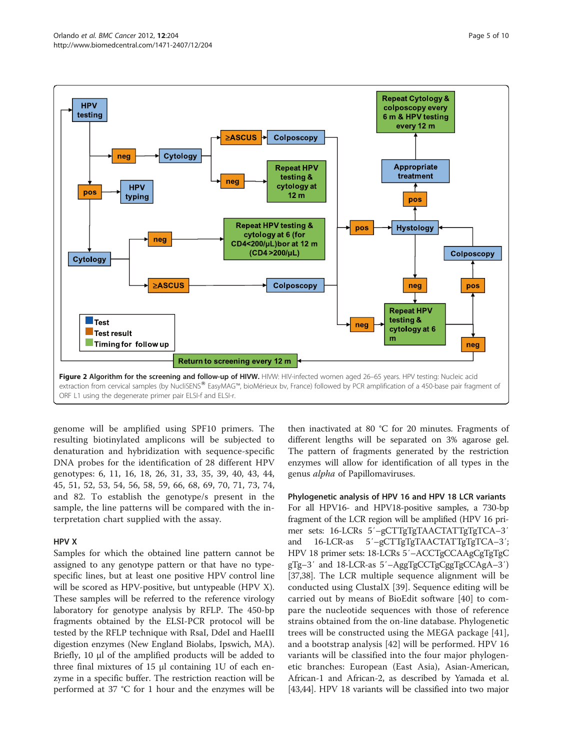<span id="page-4-0"></span>

genome will be amplified using SPF10 primers. The resulting biotinylated amplicons will be subjected to denaturation and hybridization with sequence-specific DNA probes for the identification of 28 different HPV genotypes: 6, 11, 16, 18, 26, 31, 33, 35, 39, 40, 43, 44, 45, 51, 52, 53, 54, 56, 58, 59, 66, 68, 69, 70, 71, 73, 74, and 82. To establish the genotype/s present in the sample, the line patterns will be compared with the interpretation chart supplied with the assay.

#### HPV X

Samples for which the obtained line pattern cannot be assigned to any genotype pattern or that have no typespecific lines, but at least one positive HPV control line will be scored as HPV-positive, but untypeable (HPV X). These samples will be referred to the reference virology laboratory for genotype analysis by RFLP. The 450-bp fragments obtained by the ELSI-PCR protocol will be tested by the RFLP technique with RsaI, DdeI and HaeIII digestion enzymes (New England Biolabs, Ipswich, MA). Briefly, 10 μl of the amplified products will be added to three final mixtures of 15 μl containing 1U of each enzyme in a specific buffer. The restriction reaction will be performed at 37 °C for 1 hour and the enzymes will be then inactivated at 80 °C for 20 minutes. Fragments of different lengths will be separated on 3% agarose gel. The pattern of fragments generated by the restriction enzymes will allow for identification of all types in the genus alpha of Papillomaviruses.

Phylogenetic analysis of HPV 16 and HPV 18 LCR variants For all HPV16- and HPV18-positive samples, a 730-bp fragment of the LCR region will be amplified (HPV 16 primer sets: 16-LCRs 5′–gCTTgTgTAACTATTgTgTCA–3′ and 16-LCR-as 5′–gCTTgTgTAACTATTgTgTCA–3′; HPV 18 primer sets: 18-LCRs 5′–ACCTgCCAAgCgTgTgC gTg–3′ and 18-LCR-as 5′–AggTgCCTgCggTgCCAgA–3′) [[37,38\]](#page-8-0). The LCR multiple sequence alignment will be conducted using ClustalX [[39\]](#page-8-0). Sequence editing will be carried out by means of BioEdit software [[40\]](#page-8-0) to compare the nucleotide sequences with those of reference strains obtained from the on-line database. Phylogenetic trees will be constructed using the MEGA package [\[41](#page-8-0)], and a bootstrap analysis [[42\]](#page-9-0) will be performed. HPV 16 variants will be classified into the four major phylogenetic branches: European (East Asia), Asian-American, African-1 and African-2, as described by Yamada et al. [[43,44](#page-9-0)]. HPV 18 variants will be classified into two major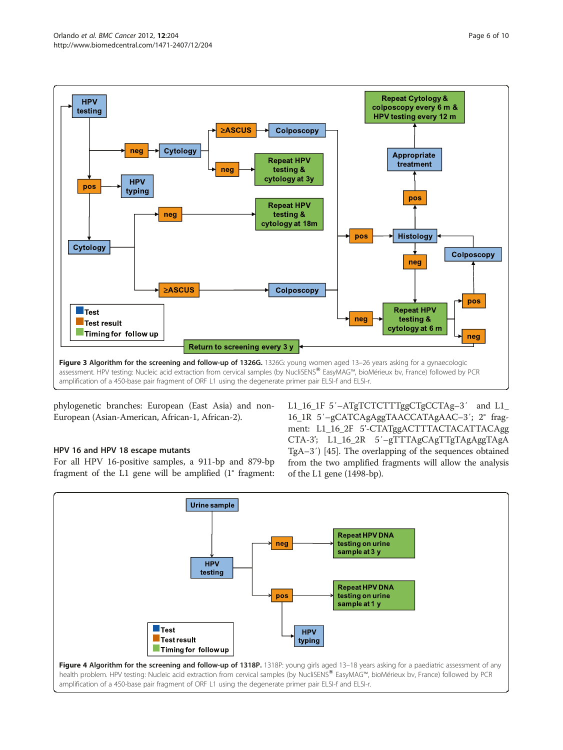<span id="page-5-0"></span>

phylogenetic branches: European (East Asia) and non-European (Asian-American, African-1, African-2).

# HPV 16 and HPV 18 escape mutants

For all HPV 16-positive samples, a 911-bp and 879-bp fragment of the L1 gene will be amplified (1° fragment: L1\_16\_1F 5′-ATgTCTCTTTggCTgCCTAg-3′ and L1\_ 16\_1R 5′–gCATCAgAggTAACCATAgAAC–3′; 2° fragment: L1\_16\_2F 5'-CTATggACTTTACTACATTACAgg CTA-3'; L1\_16\_2R 5′–gTTTAgCAgTTgTAgAggTAgA TgA–3′) [[45](#page-9-0)]. The overlapping of the sequences obtained from the two amplified fragments will allow the analysis of the L1 gene (1498-bp).

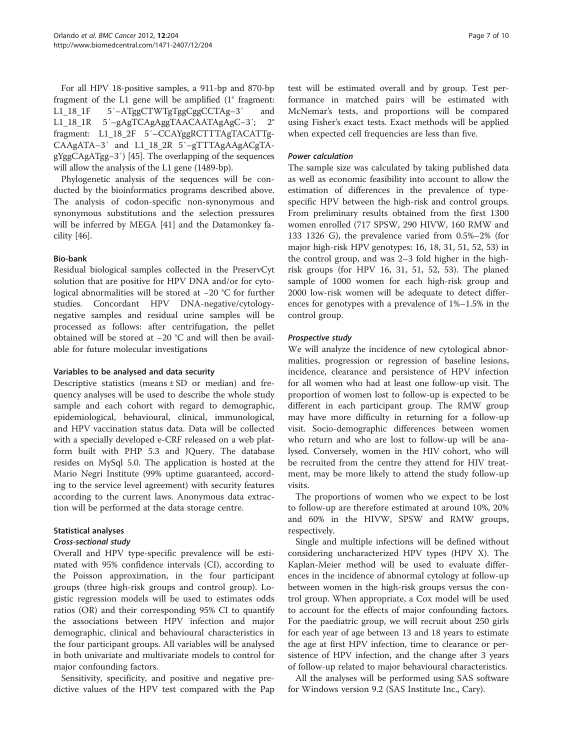For all HPV 18-positive samples, a 911-bp and 870-bp fragment of the L1 gene will be amplified (1° fragment: L1\_18\_1F 5′–ATggCTWTgTggCggCCTAg–3′ and L1\_18\_1R 5′–gAgTCAgAggTAACAATAgAgC–3′; 2° fragment: L1\_18\_2F 5′–CCAYggRCTTTAgTACATTg-CAAgATA–3′ and L1\_18\_2R 5′–gTTTAgAAgACgTAgYggCAgATgg–3′) [\[45\]](#page-9-0). The overlapping of the sequences will allow the analysis of the L1 gene (1489-bp).

Phylogenetic analysis of the sequences will be conducted by the bioinformatics programs described above. The analysis of codon-specific non-synonymous and synonymous substitutions and the selection pressures will be inferred by MEGA [[41](#page-8-0)] and the Datamonkey facility [\[46](#page-9-0)].

#### Bio-bank

Residual biological samples collected in the PreservCyt solution that are positive for HPV DNA and/or for cytological abnormalities will be stored at −20 °C for further studies. Concordant HPV DNA-negative/cytologynegative samples and residual urine samples will be processed as follows: after centrifugation, the pellet obtained will be stored at −20 °C and will then be available for future molecular investigations

#### Variables to be analysed and data security

Descriptive statistics (means  $\pm$  SD or median) and frequency analyses will be used to describe the whole study sample and each cohort with regard to demographic, epidemiological, behavioural, clinical, immunological, and HPV vaccination status data. Data will be collected with a specially developed e-CRF released on a web platform built with PHP 5.3 and JQuery. The database resides on MySql 5.0. The application is hosted at the Mario Negri Institute (99% uptime guaranteed, according to the service level agreement) with security features according to the current laws. Anonymous data extraction will be performed at the data storage centre.

# Statistical analyses

#### Cross-sectional study

Overall and HPV type-specific prevalence will be estimated with 95% confidence intervals (CI), according to the Poisson approximation, in the four participant groups (three high-risk groups and control group). Logistic regression models will be used to estimates odds ratios (OR) and their corresponding 95% CI to quantify the associations between HPV infection and major demographic, clinical and behavioural characteristics in the four participant groups. All variables will be analysed in both univariate and multivariate models to control for major confounding factors.

Sensitivity, specificity, and positive and negative predictive values of the HPV test compared with the Pap

test will be estimated overall and by group. Test performance in matched pairs will be estimated with McNemar's tests, and proportions will be compared using Fisher's exact tests. Exact methods will be applied when expected cell frequencies are less than five.

#### Power calculation

The sample size was calculated by taking published data as well as economic feasibility into account to allow the estimation of differences in the prevalence of typespecific HPV between the high-risk and control groups. From preliminary results obtained from the first 1300 women enrolled (717 SPSW, 290 HIVW, 160 RMW and 133 1326 G), the prevalence varied from 0.5%–2% (for major high-risk HPV genotypes: 16, 18, 31, 51, 52, 53) in the control group, and was 2–3 fold higher in the highrisk groups (for HPV 16, 31, 51, 52, 53). The planed sample of 1000 women for each high-risk group and 2000 low-risk women will be adequate to detect differences for genotypes with a prevalence of 1%–1.5% in the control group.

# Prospective study

We will analyze the incidence of new cytological abnormalities, progression or regression of baseline lesions, incidence, clearance and persistence of HPV infection for all women who had at least one follow-up visit. The proportion of women lost to follow-up is expected to be different in each participant group. The RMW group may have more difficulty in returning for a follow-up visit. Socio-demographic differences between women who return and who are lost to follow-up will be analysed. Conversely, women in the HIV cohort, who will be recruited from the centre they attend for HIV treatment, may be more likely to attend the study follow-up visits.

The proportions of women who we expect to be lost to follow-up are therefore estimated at around 10%, 20% and 60% in the HIVW, SPSW and RMW groups, respectively.

Single and multiple infections will be defined without considering uncharacterized HPV types (HPV X). The Kaplan-Meier method will be used to evaluate differences in the incidence of abnormal cytology at follow-up between women in the high-risk groups versus the control group. When appropriate, a Cox model will be used to account for the effects of major confounding factors. For the paediatric group, we will recruit about 250 girls for each year of age between 13 and 18 years to estimate the age at first HPV infection, time to clearance or persistence of HPV infection, and the change after 3 years of follow-up related to major behavioural characteristics.

All the analyses will be performed using SAS software for Windows version 9.2 (SAS Institute Inc., Cary).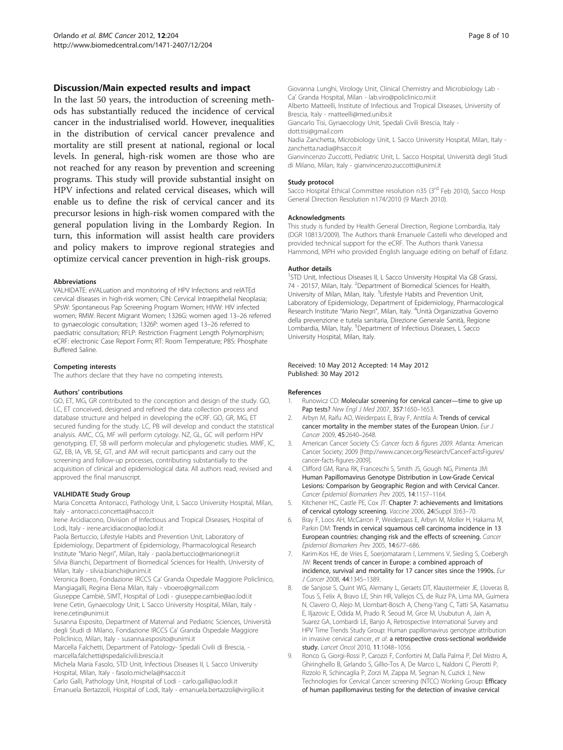#### <span id="page-7-0"></span>Discussion/Main expected results and impact

In the last 50 years, the introduction of screening methods has substantially reduced the incidence of cervical cancer in the industrialised world. However, inequalities in the distribution of cervical cancer prevalence and mortality are still present at national, regional or local levels. In general, high-risk women are those who are not reached for any reason by prevention and screening programs. This study will provide substantial insight on HPV infections and related cervical diseases, which will enable us to define the risk of cervical cancer and its precursor lesions in high-risk women compared with the general population living in the Lombardy Region. In turn, this information will assist health care providers and policy makers to improve regional strategies and optimize cervical cancer prevention in high-risk groups.

#### Abbreviations

VALHIDATE: eVALuation and monitoring of HPV Infections and relATEd cervical diseases in high-risk women; CIN: Cervical Intraepithelial Neoplasia; SPsW: Spontaneous Pap Screening Program Women; HIVW: HIV infected women; RMW: Recent Migrant Women; 1326G: women aged 13–26 referred to gynaecologic consultation; 1326P: women aged 13–26 referred to paediatric consultation; RFLP: Restriction Fragment Length Polymorphism; eCRF: electronic Case Report Form; RT: Room Temperature; PBS: Phosphate Buffered Saline.

#### Competing interests

The authors declare that they have no competing interests.

#### Authors' contributions

GO, ET, MG, GR contributed to the conception and design of the study. GO, LC, ET conceived, designed and refined the data collection process and database structure and helped in developing the eCRF. GO, GR, MG, ET secured funding for the study. LC, PB will develop and conduct the statistical analysis. AMC, CG, MF will perform cytology. NZ, GL, GC will perform HPV genotyping. ET, SB will perform molecular and phylogenetic studies. MMF, IC, GZ, EB, IA, VB, SE, GT, and AM will recruit participants and carry out the screening and follow-up processes, contributing substantially to the acquisition of clinical and epidemiological data. All authors read, revised and approved the final manuscript.

#### VALHIDATE Study Group

Maria Concetta Antonacci, Pathology Unit, L Sacco University Hospital, Milan, Italy - antonacci.concetta@hsacco.it

Irene Arcidiacono, Division of Infectious and Tropical Diseases, Hospital of Lodi, Italy - irene.arcidiacono@ao.lodi.it

Paola Bertuccio, Lifestyle Habits and Prevention Unit, Laboratory of Epidemiology, Department of Epidemiology, Pharmacological Research Institute "Mario Negri", Milan, Italy - paola.bertuccio@marionegri.it Silvia Bianchi, Department of Biomedical Sciences for Health, University of Milan, Italy - silvia.bianchi@unimi.it

Veronica Boero, Fondazione IRCCS Ca' Granda Ospedale Maggiore Policlinico, Mangiagalli, Regina Elena Milan, Italy - vboero@gmail.com

Giuseppe Cambiè, SIMT, Hospital of Lodi - giuseppe.cambie@ao.lodi.it Irene Cetin, Gynaecology Unit, L Sacco University Hospital, Milan, Italy - Irene.cetin@unimi.it

Susanna Esposito, Department of Maternal and Pediatric Sciences, Università degli Studi di Milano, Fondazione IRCCS Ca' Granda Ospedale Maggiore Policlinico, Milan, Italy - susanna.esposito@unimi.it

Marcella Falchetti, Department of Patology- Spedali Civili di Brescia, marcella.falchetti@spedalicivili.brescia.it

Michela Maria Fasolo, STD Unit, Infectious Diseases II, L Sacco University Hospital, Milan, Italy - fasolo.michela@hsacco.it

Carlo Galli, Pathology Unit, Hospital of Lodi - carlo.galli@ao.lodi.it Emanuela Bertazzoli, Hospital of Lodi, Italy - emanuela.bertazzoli@virgilio.it Giovanna Lunghi, Virology Unit, Clinical Chemistry and Microbiology Lab - Ca' Granda Hospital, Milan - lab.viro@policlinico.mi.it

Alberto Matteelli, Institute of Infectious and Tropical Diseases, University of Brescia, Italy - matteelli@med.unibs.it

Giancarlo Tisi, Gynaecology Unit, Spedali Civili Brescia, Italy -

dott.tisi@gmail.com

Nadia Zanchetta, Microbiology Unit, L Sacco University Hospital, Milan, Italy zanchetta.nadia@hsacco.it

Gianvincenzo Zuccotti, Pediatric Unit, L. Sacco Hospital, Università degli Studi di Milano, Milan, Italy - gianvincenzo.zuccotti@unimi.it

#### Study protocol

Sacco Hospital Ethical Committee resolution n35 (3<sup>rd</sup> Feb 2010), Sacco Hosp General Direction Resolution n174/2010 (9 March 2010).

#### Acknowledgments

This study is funded by Health General Direction, Regione Lombardia, Italy (DGR 10813/2009). The Authors thank Emanuele Castelli who developed and provided technical support for the eCRF. The Authors thank Vanessa Hammond, MPH who provided English language editing on behalf of Edanz.

#### Author details

<sup>1</sup>STD Unit, Infectious Diseases II, L Sacco University Hospital Via GB Grassi 74 - 20157, Milan, Italy. <sup>2</sup>Department of Biomedical Sciences for Health, University of Milan, Milan, Italy. <sup>3</sup> Lifestyle Habits and Prevention Unit, Laboratory of Epidemiology, Department of Epidemiology, Pharmacological Research Institute "Mario Negri", Milan, Italy. <sup>4</sup>Unità Organizzativa Governo della prevenzione e tutela sanitaria, Direzione Generale Sanità, Regione Lombardia, Milan, Italy. <sup>5</sup> Department of Infectious Diseases, L Sacco University Hospital, Milan, Italy.

#### Received: 10 May 2012 Accepted: 14 May 2012 Published: 30 May 2012

#### References

- 1. Runowicz CD: Molecular screening for cervical cancer—time to give up Pap tests? New Engl J Med 2007, 357:1650-1653.
- Arbyn M, Raifu AO, Weiderpass E, Bray F, Anttila A: Trends of cervical cancer mortality in the member states of the European Union. Eur J Cancer 2009, 45:2640–2648.
- 3. American Cancer Society CS: Cancer facts & figures 2009. Atlanta: American Cancer Society; 2009 [http://www.cancer.org/Research/CancerFactsFigures/ cancer-facts-figures-2009].
- 4. Clifford GM, Rana RK, Franceschi S, Smith JS, Gough NG, Pimenta JM: Human Papillomavirus Genotype Distribution in Low-Grade Cervical Lesions: Comparison by Geographic Region and with Cervical Cancer. Cancer Epidemiol Biomarkers Prev 2005, 14:1157–1164.
- 5. Kitchener HC, Castle PE, Cox JT: Chapter 7: achievements and limitations of cervical cytology screening. Vaccine 2006, 24(Suppl 3):63–70.
- 6. Bray F, Loos AH, McCarron P, Weiderpass E, Arbyn M, Moller H, Hakama M, Parkin DM: Trends in cervical squamous cell carcinoma incidence in 13 European countries: changing risk and the effects of screening. Cancer Epidemiol Biomarkers Prev 2005, 14:677–686.
- Karim-Kos HE, de Vries E, Soerjomataram I, Lemmens V, Siesling S, Coebergh JW: Recent trends of cancer in Europe: a combined approach of incidence, survival and mortality for 17 cancer sites since the 1990s. Eur J Cancer 2008, 44:1345–1389.
- 8. de Sanjose S, Quint WG, Alemany L, Geraets DT, Klaustermeier JE, Lloveras B, Tous S, Felix A, Bravo LE, Shin HR, Vallejos CS, de Ruiz PA, Lima MA, Guimera N, Clavero O, Alejo M, Llombart-Bosch A, Cheng-Yang C, Tatti SA, Kasamatsu E, Iljazovic E, Odida M, Prado R, Seoud M, Grce M, Usubutun A, Jain A, Suarez GA, Lombardi LE, Banjo A, Retrospective International Survey and HPV Time Trends Study Group: Human papillomavirus genotype attribution in invasive cervical cancer, et al: a retrospective cross-sectional worldwide study. Lancet Oncol 2010, 11:1048–1056.
- 9. Ronco G, Giorgi-Rossi P, Carozzi F, Confortini M, Dalla Palma P, Del Mistro A, Ghiringhello B, Girlando S, Gillio-Tos A, De Marco L, Naldoni C, Pierotti P, Rizzolo R, Schincaglia P, Zorzi M, Zappa M, Segnan N, Cuzick J, New Technologies for Cervical Cancer screening (NTCC) Working Group: Efficacy of human papillomavirus testing for the detection of invasive cervical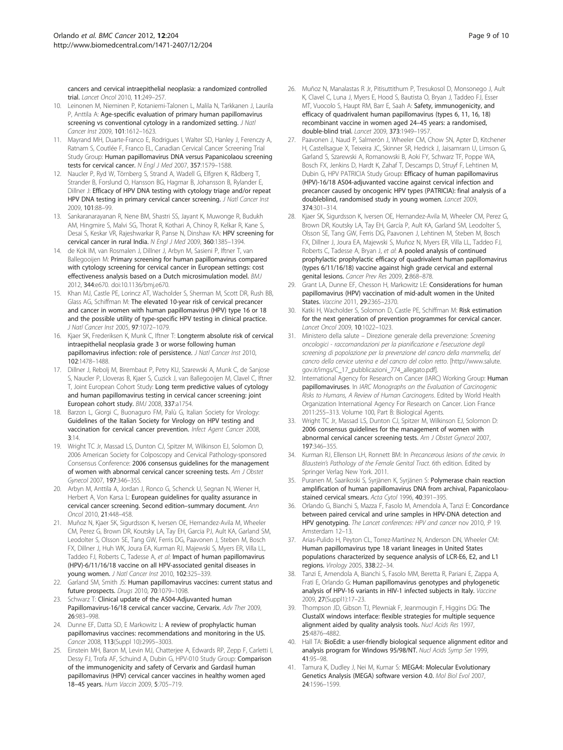<span id="page-8-0"></span>cancers and cervical intraepithelial neoplasia: a randomized controlled trial. Lancet Oncol 2010, 11:249–257.

- 10. Leinonen M, Nieminen P, Kotaniemi-Talonen L, Malila N, Tarkkanen J, Laurila P, Anttila A: Age-specific evaluation of primary human papillomavirus screening vs conventional cytology in a randomized setting. J Natl Cancer Inst 2009, 101:1612–1623.
- 11. Mayrand MH, Duarte-Franco E, Rodrigues I, Walter SD, Hanley J, Ferenczy A, Ratnam S, Coutlée F, Franco EL, Canadian Cervical Cancer Screening Trial Study Group: Human papillomavirus DNA versus Papanicolaou screening tests for cervical cancer. N Engl J Med 2007, 357:1579–1588.
- 12. Naucler P, Ryd W, Törnberg S, Strand A, Wadell G, Elfgren K, Rådberg T, Strander B, Forslund O, Hansson BG, Hagmar B, Johansson B, Rylander E, Dillner J: Efficacy of HPV DNA testing with cytology triage and/or repeat HPV DNA testing in primary cervical cancer screening. J Natl Cancer Inst 2009, 101:88–99.
- 13. Sankaranarayanan R, Nene BM, Shastri SS, Jayant K, Muwonge R, Budukh AM, Hingmire S, Malvi SG, Thorat R, Kothari A, Chinoy R, Kelkar R, Kane S, Desai S, Keskar VR, Rajeshwarkar R, Panse N, Dinshaw KA: HPV screening for cervical cancer in rural India. N Engl J Med 2009, 360:1385–1394.
- 14. de Kok IM, van Rosmalen J, Dillner J, Arbyn M, Sasieni P, Iftner T, van Ballegooijen M: Primary screening for human papillomavirus compared with cytology screening for cervical cancer in European settings: cost effectiveness analysis based on a Dutch microsimulation model. BMJ 2012, 344:e670. doi[:10.1136/bmj.e670](10.1136/bmj.e670).
- 15. Khan MJ, Castle PE, Lorincz AT, Wacholder S, Sherman M, Scott DR, Rush BB, Glass AG, Schiffman M: The elevated 10-year risk of cervical precancer and cancer in women with human papillomavirus (HPV) type 16 or 18 and the possible utility of type-specific HPV testing in clinical practice. J Natl Cancer Inst 2005, 97:1072–1079.
- 16. Kjaer SK, Frederiksen K, Munk C, Iftner T: Longterm absolute risk of cervical intraepithelial neoplasia grade 3 or worse following human papillomavirus infection: role of persistence. J Natl Cancer Inst 2010, 102:1478–1488.
- 17. Dillner J, Rebolj M, Birembaut P, Petry KU, Szarewski A, Munk C, de Sanjose S, Naucler P, Lloveras B, Kjaer S, Cuzick J, van Ballegooijen M, Clavel C, Iftner T, Joint European Cohort Study: Long term predictive values of cytology and human papillomavirus testing in cervical cancer screening: joint European cohort study. BMJ 2008, 337:a1754.
- 18. Barzon L, Giorgi C, Buonaguro FM, Palù G, Italian Society for Virology: Guidelines of the Italian Society for Virology on HPV testing and vaccination for cervical cancer prevention. Infect Agent Cancer 2008, 3:14.
- 19. Wright TC Jr, Massad LS, Dunton CJ, Spitzer M, Wilkinson EJ, Solomon D, 2006 American Society for Colposcopy and Cervical Pathology-sponsored Consensus Conference: 2006 consensus guidelines for the management of women with abnormal cervical cancer screening tests. Am J Obstet Gynecol 2007, 197:346–355.
- 20. Arbyn M, Anttila A, Jordan J, Ronco G, Schenck U, Segnan N, Wiener H, Herbert A, Von Karsa L: European guidelines for quality assurance in cervical cancer screening. Second edition–summary document. Ann Oncol 2010, 21:448–458.
- 21. Muñoz N, Kjaer SK, Sigurdsson K, Iversen OE, Hernandez-Avila M, Wheeler CM, Perez G, Brown DR, Koutsky LA, Tay EH, Garcia PJ, Ault KA, Garland SM, Leodolter S, Olsson SE, Tang GW, Ferris DG, Paavonen J, Steben M, Bosch FX, Dillner J, Huh WK, Joura EA, Kurman RJ, Majewski S, Myers ER, Villa LL, Taddeo FJ, Roberts C, Tadesse A, et al: Impact of human papillomavirus (HPV)-6/11/16/18 vaccine on all HPV-associated genital diseases in young women. J Natl Cancer Inst 2010, 102:325-339.
- 22. Garland SM, Smith JS: Human papillomavirus vaccines: current status and future prospects. Drugs 2010, 70:1079–1098.
- 23. Schwarz T: Clinical update of the AS04-Adjuvanted human Papillomavirus-16/18 cervical cancer vaccine, Cervarix. Adv Ther 2009, 26:983–998.
- 24. Dunne EF, Datta SD, E Markowitz L: A review of prophylactic human papillomavirus vaccines: recommendations and monitoring in the US. Cancer 2008, 113(Suppl 10):2995–3003.
- 25. Einstein MH, Baron M, Levin MJ, Chatterjee A, Edwards RP, Zepp F, Carletti I, Dessy FJ, Trofa AF, Schuind A, Dubin G, HPV-010 Study Group: Comparison of the immunogenicity and safety of Cervarix and Gardasil human papillomavirus (HPV) cervical cancer vaccines in healthy women aged 18–45 years. Hum Vaccin 2009, 5:705–719.
- 26. Muñoz N, Manalastas R Jr, Pitisuttithum P, Tresukosol D, Monsonego J, Ault K, Clavel C, Luna J, Myers E, Hood S, Bautista O, Bryan J, Taddeo FJ, Esser MT, Vuocolo S, Haupt RM, Barr E, Saah A: Safety, immunogenicity, and efficacy of quadrivalent human papillomavirus (types 6, 11, 16, 18) recombinant vaccine in women aged 24–45 years: a randomised, double-blind trial. Lancet 2009, 373:1949–1957.
- 27. Paavonen J, Naud P, Salmerón J, Wheeler CM, Chow SN, Apter D, Kitchener H, Castellsague X, Teixeira JC, Skinner SR, Hedrick J, Jaisamrarn U, Limson G, Garland S, Szarewski A, Romanowski B, Aoki FY, Schwarz TF, Poppe WA, Bosch FX, Jenkins D, Hardt K, Zahaf T, Descamps D, Struyf F, Lehtinen M, Dubin G, HPV PATRICIA Study Group: Efficacy of human papillomavirus (HPV)-16/18 AS04-adjuvanted vaccine against cervical infection and precancer caused by oncogenic HPV types (PATRICIA): final analysis of a doubleblind, randomised study in young women. Lancet 2009, 374:301–314.
- 28. Kjaer SK, Sigurdsson K, Iversen OE, Hernandez-Avila M, Wheeler CM, Perez G, Brown DR, Koutsky LA, Tay EH, García P, Ault KA, Garland SM, Leodolter S, Olsson SE, Tang GW, Ferris DG, Paavonen J, Lehtinen M, Steben M, Bosch FX, Dillner J, Joura EA, Majewski S, Muñoz N, Myers ER, Villa LL, Taddeo FJ, Roberts C, Tadesse A, Bryan J, et al: A pooled analysis of continued prophylactic prophylactic efficacy of quadrivalent human papillomavirus (types 6/11/16/18) vaccine against high grade cervical and external genital lesions. Cancer Prev Res 2009, 2:868–878.
- 29. Grant LA, Dunne EF, Chesson H, Markowitz LE: Considerations for human papillomavirus (HPV) vaccination of mid-adult women in the United States. Vaccine 2011, 29:2365–2370.
- Katki H, Wacholder S, Solomon D, Castle PE, Schiffman M: Risk estimation for the next generation of prevention programmes for cervical cancer. Lancet Oncol 2009, 10:1022–1023.
- 31. Ministero della salute Direzione generale della prevenzione: Screening oncologici - raccomandazioni per la pianificazione e l'esecuzione degli screening di popolazione per la prevenzione del cancro della mammella, del cancro della cervice uterina e del cancro del colon retto. [http://www.salute. gov.it/imgs/C\_17\_pubblicazioni\_774\_allegato.pdf].
- 32. International Agency for Research on Cancer (IARC) Working Group: Human papillomaviruses. In IARC Monographs on the Evaluation of Carcinogenic Risks to Humans, A Review of Human Carcinogens. Edited by World Health Organization International Agency For Research on Cancer. Lion France 2011:255–313. Volume 100, Part B: Biological Agents.
- 33. Wright TC Jr, Massad LS, Dunton CJ, Spitzer M, Wilkinson EJ, Solomon D: 2006 consensus guidelines for the management of women with abnormal cervical cancer screening tests. Am J Obstet Gynecol 2007, 197:346–355.
- 34. Kurman RJ, Ellenson LH, Ronnett BM: In Precancerous lesions of the cervix. In Blaustein's Pathology of the Female Genital Tract. 6th edition. Edited by Springer Verlag New York. 2011.
- 35. Puranen M, Saarikoski S, Syrjänen K, Syrjänen S: Polymerase chain reaction amplification of human papillomavirus DNA from archival, Papanicolaoustained cervical smears. Acta Cytol 1996, 40:391-395.
- 36. Orlando G, Bianchi S, Mazza F, Fasolo M, Amendola A, Tanzi E: Concordance between paired cervical and urine samples in HPV-DNA detection and HPV genotyping. The Lancet conferences: HPV and cancer nov 2010, :P 19. Amsterdam 12–13.
- 37. Arias-Pulido H, Peyton CL, Torrez-Martínez N, Anderson DN, Wheeler CM: Human papillomavirus type 18 variant lineages in United States populations characterized by sequence analysis of LCR-E6, E2, and L1 regions. Virology 2005, 338:22–34.
- Tanzi E, Amendola A, Bianchi S, Fasolo MM, Beretta R, Pariani E, Zappa A, Frati E, Orlando G: Human papillomavirus genotypes and phylogenetic analysis of HPV-16 variants in HIV-1 infected subjects in Italy. Vaccine 2009, 27(Suppl1):17–23.
- 39. Thompson JD, Gibson TJ, Plewniak F, Jeanmougin F, Higgins DG: The ClustalX windows interface: flexible strategies for multiple sequence alignment aided by quality analysis tools. Nucl Acids Res 1997, 25:4876–4882.
- 40. Hall TA: BioEdit: a user-friendly biological sequence alignment editor and analysis program for Windows 95/98/NT. Nucl Acids Symp Ser 1999, 41:95–98.
- 41. Tamura K, Dudley J, Nei M, Kumar S: MEGA4: Molecular Evolutionary Genetics Analysis (MEGA) software version 4.0. Mol Biol Evol 2007, 24:1596–1599.